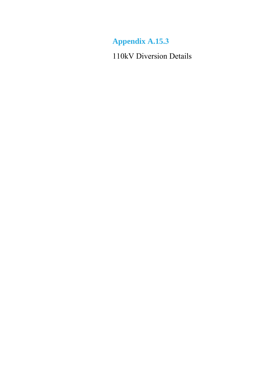**Appendix A.15.3**

110kV Diversion Details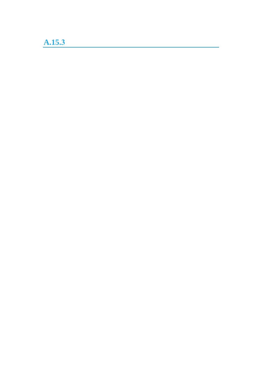## **A.15.3**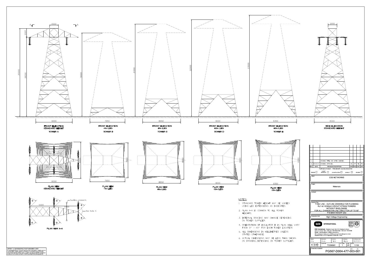

- 
- 
- 
- 
- 
-